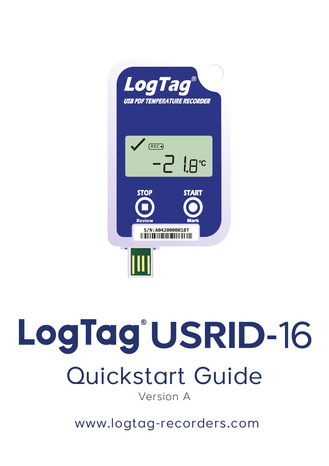

#### LogTag<sup>®</sup>USRID-16 Quickstart Guide Version A

www.logtag-recorders.com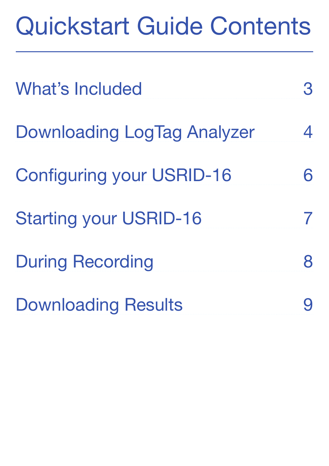#### Quickstart Guide Contents

| <b>What's Included</b>           | З             |
|----------------------------------|---------------|
| Downloading LogTag Analyzer      | 4             |
| <b>Configuring your USRID-16</b> |               |
| <b>Starting your USRID-16</b>    | $\mathcal{I}$ |
| <b>During Recording</b>          | 8             |
| <b>Downloading Results</b>       |               |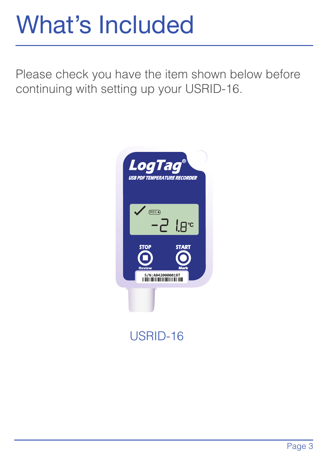#### What's Included

Please check you have the item shown below before continuing with setting up your USRID-16.



#### USRID-16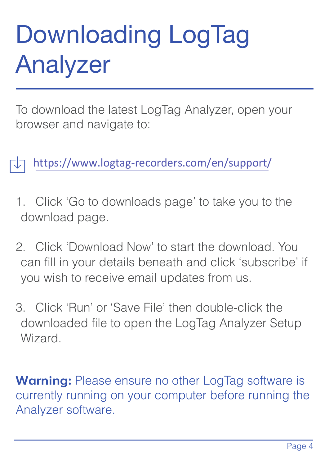## Downloading LogTag Analyzer

To download the latest LogTag Analyzer, open your browser and navigate to:

https://www.logtag-recorders.com/en/support/

- 1. Click 'Go to downloads page' to take you to the download page.
- 2. Click 'Download Now' to start the download. You can fill in your details beneath and click 'subscribe' if you wish to receive email updates from us.
- 3. Click 'Run' or 'Save File' then double-click the downloaded file to open the LogTag Analyzer Setup Wizard.

**Warning:** Please ensure no other LogTag software is currently running on your computer before running the Analyzer software.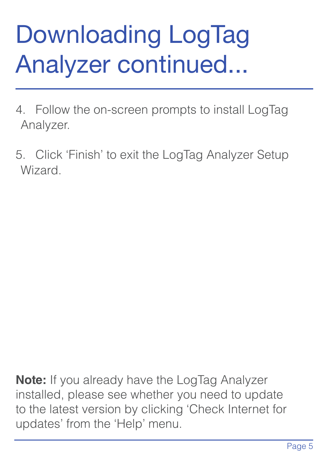## Downloading LogTag Analyzer continued...

- 4. Follow the on-screen prompts to install LogTag Analyzer.
- 5. Click 'Finish' to exit the LogTag Analyzer Setup Wizard.

**Note:** If you already have the LogTag Analyzer installed, please see whether you need to update to the latest version by clicking 'Check Internet for updates' from the 'Help' menu.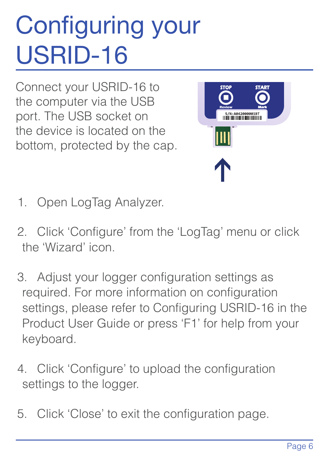# **Configuring your** USRID-16

Connect your USRID-16 to the computer via the USB port. The USB socket on the device is located on the bottom, protected by the cap.



- 1. Open LogTag Analyzer.
- 2. Click 'Configure' from the 'LogTag' menu or click the 'Wizard' icon.
- 3. Adjust your logger configuration settings as required. For more information on configuration settings, please refer to Configuring USRID-16 in the Product User Guide or press 'F1' for help from your keyboard.
- 4. Click 'Configure' to upload the configuration settings to the logger.
- 5. Click 'Close' to exit the configuration page.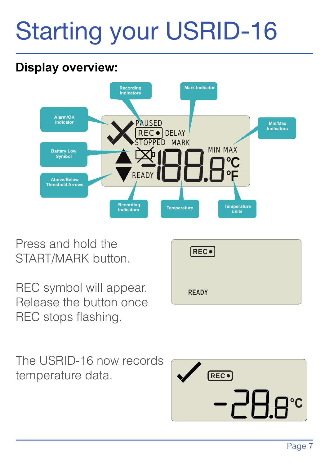## Starting your USRID-16

#### **Display overview:**



Press and hold the START/MARK button.

REC symbol will appear. Release the button once REC stops flashing.

| <b>REC</b> . |  |
|--------------|--|
| <b>READY</b> |  |

The USRID-16 now records temperature data.

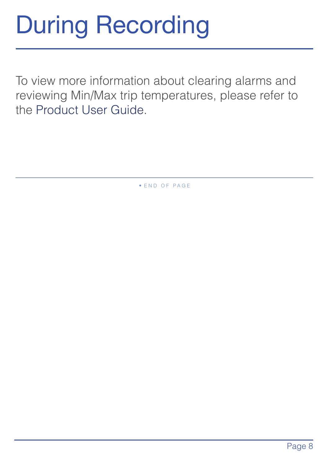### During Recording

To view more information about clearing alarms and reviewing Min/Max trip temperatures, please refer to the Product User Guide.

• E N D O F P A G E